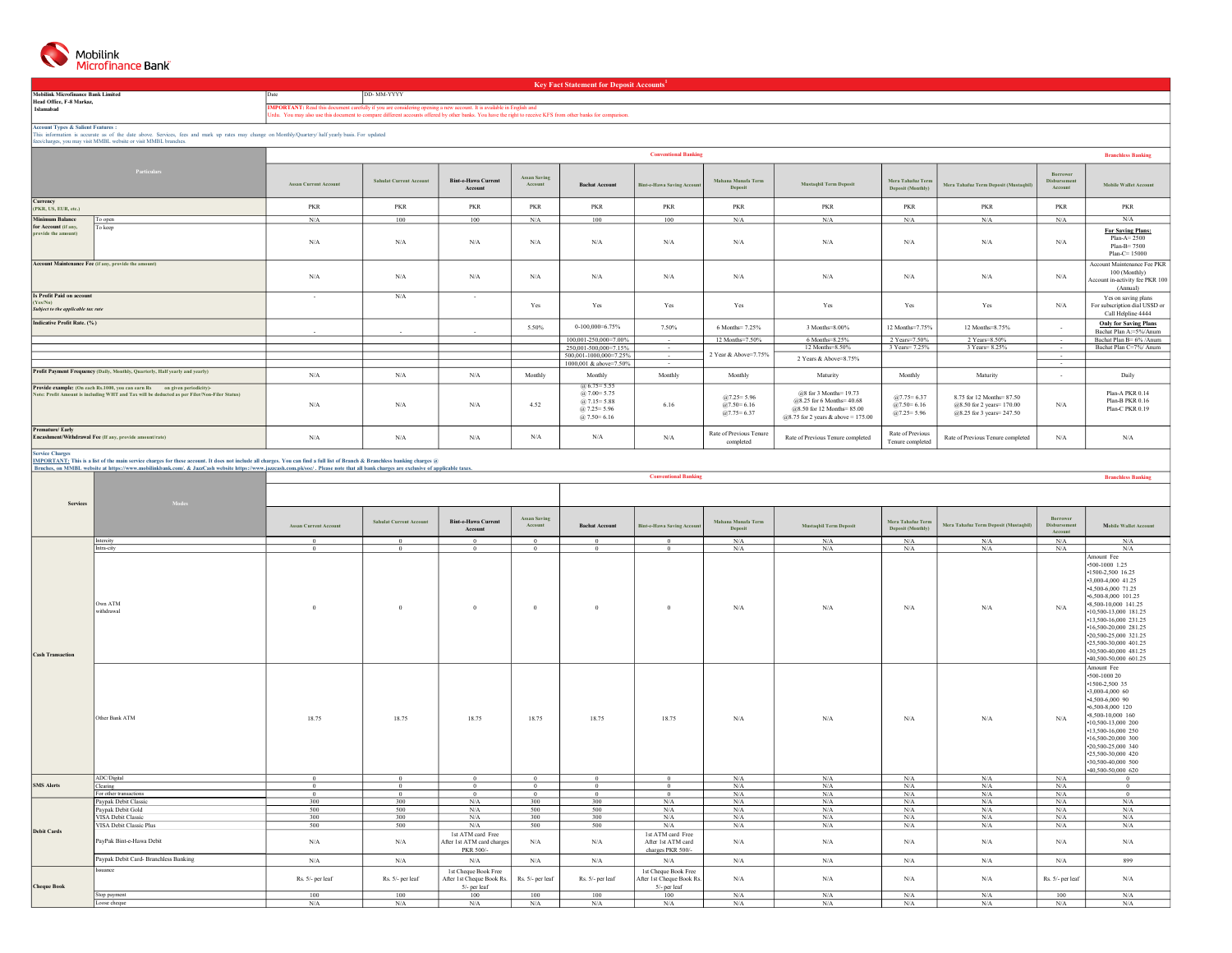

Mobilink Microfinance Bank Limited Head Office, F-8 Markaz, Islamabad

Key Fact Statement for Deposit $\mathrm{Accounts}^{1}$ 

IMPORTANT: Read this document carefully if you are considering opening a new account. It is available in English and<br>Urdu. You may also use this document to compare different accounts offered by other banks. You have the r

Date Date DD- MM-YYYY

Account Types & Salient Features :<br>This information is accurate as of the date above. Services, fees and mark up rates may change on Monthly/Quartery/ half yearly basis. For updated<br>fees/charges, you may visit MMBL website

| Particulars                                                                                                                                                               |                                                                              | <b>Conventional Banking</b>  |                                |                                       |                                |                                                                                                   |                                   |                                                        |                                                                                                                                    |                                                           |                                                                                               |                                            |                                                                                             |
|---------------------------------------------------------------------------------------------------------------------------------------------------------------------------|------------------------------------------------------------------------------|------------------------------|--------------------------------|---------------------------------------|--------------------------------|---------------------------------------------------------------------------------------------------|-----------------------------------|--------------------------------------------------------|------------------------------------------------------------------------------------------------------------------------------------|-----------------------------------------------------------|-----------------------------------------------------------------------------------------------|--------------------------------------------|---------------------------------------------------------------------------------------------|
|                                                                                                                                                                           |                                                                              | <b>Assan Current Account</b> | <b>Sahulat Current Account</b> | <b>Bint-e-Hawa Current</b><br>Account | <b>Assan Saving</b><br>Account | <b>Bachat Account</b>                                                                             | <b>Bint-e-Hawa Saving Account</b> | Mahana Munafa Term<br>Deposit                          | <b>Mustagbil Term Deposit</b>                                                                                                      | Mera Tahafuz Term<br>Deposit (Monthly)                    | Mera Tahafuz Term Deposit (Mustagbil)                                                         | <b>Borrower</b><br>Disbursement<br>Account | <b>Mobile Wallet Account</b>                                                                |
| Currency<br>(PKR, US, EUR, etc.)                                                                                                                                          |                                                                              | PKR                          | PKR                            | <b>PKR</b>                            | <b>PKR</b>                     | <b>PKR</b>                                                                                        | PKR                               | PKR                                                    | PKR                                                                                                                                | <b>PKR</b>                                                | PKR                                                                                           | <b>PKR</b>                                 | PKR                                                                                         |
| <b>Minimum Balance</b>                                                                                                                                                    | To open                                                                      | N/A                          | 100                            | 100                                   | N/A                            | 100                                                                                               | 100                               | N/A                                                    | N/A                                                                                                                                | N/A                                                       | N/A                                                                                           | N/A                                        | N/A                                                                                         |
| for Account (if any,<br>provide the amount)                                                                                                                               | To keep                                                                      | N/A                          | N/A                            | N/A                                   | N/A                            | N/A                                                                                               | N/A                               | N/A                                                    | N/A                                                                                                                                | N/A                                                       | N/A                                                                                           | N/A                                        | <b>For Saving Plans:</b><br>$Plan-A=2500$<br>Plan-B= 7500<br>$Plan-C=15000$                 |
| Account Maintenance Fee (if any, provide the amount)                                                                                                                      |                                                                              | N/A                          | N/A                            | N/A                                   | N/A                            | N/A                                                                                               | N/A                               | N/A                                                    | N/A                                                                                                                                | N/A                                                       | N/A                                                                                           | N/A                                        | Account Maintenance Fee PKR<br>100 (Monthly)<br>Account in-activity fee PKR 100<br>(Annual) |
| <b>Is Profit Paid on account</b><br>(Yes/No)<br>Subject to the applicable tax rate                                                                                        |                                                                              | $\sim$                       | N/A                            | $\sim$                                | Yes                            | Yes                                                                                               | Yes                               | Yes                                                    | Yes                                                                                                                                | Yes                                                       | Yes                                                                                           | N/A                                        | Yes on saving plans<br>For subscription dial USSD or<br>Call Helpline 4444                  |
| <b>Indicative Profit Rate, (%)</b>                                                                                                                                        |                                                                              | $\sim$                       | $\sim$                         | $\sim$                                | 5.50%                          | $0-100,000=6.75\%$                                                                                | 7.50%                             | 6 Months= 7.25%                                        | 3 Months=8,00%                                                                                                                     | 12 Months=7.75%                                           | 12 Months=8.75%                                                                               | $\sim$                                     | <b>Only for Saving Plans</b><br>Bachat Plan A:=5%/Anum                                      |
|                                                                                                                                                                           |                                                                              |                              |                                |                                       |                                | 100.001-250.000=7.00%                                                                             | $\sim$                            | 12 Months=7.50%                                        | 6 Months=8.25%                                                                                                                     | 2 Years=7.50%                                             | 2 Years=8.50%                                                                                 | <b>Contract</b>                            | Bachat Plan B= 6% / Anum                                                                    |
|                                                                                                                                                                           |                                                                              |                              |                                |                                       |                                | 250,001-500,000=7.15%                                                                             | $\sim$                            |                                                        | 12 Months=8.50%                                                                                                                    | 3 Years = 7.25%                                           | 3 Years = 8.25%                                                                               | $\sim$                                     | Bachat Plan C=7% Anum                                                                       |
|                                                                                                                                                                           |                                                                              |                              |                                |                                       |                                | 500.001-1000.000=7.25%                                                                            | $\sim$                            | 2 Year & Above=7.75%                                   | 2 Years & Above=8.75%                                                                                                              |                                                           |                                                                                               | $\sim$                                     |                                                                                             |
|                                                                                                                                                                           |                                                                              |                              |                                |                                       |                                | 1000,001 & above=7.50%                                                                            | $\sim 10^{-11}$                   |                                                        |                                                                                                                                    |                                                           |                                                                                               | $\sim$                                     |                                                                                             |
|                                                                                                                                                                           | Profit Payment Frequency (Daily, Monthly, Quarterly, Half yearly and yearly) | N/A                          | N/A                            | N/A                                   | Monthly                        | Monthly                                                                                           | Monthly                           | Monthly                                                | Maturity                                                                                                                           | Monthly                                                   | Maturity                                                                                      | $\sim$                                     | Daily                                                                                       |
| Provide example: (On each Rs.1000, you can earn Rs on given periodicity)-<br>Note: Profit Amount is including WHT and Tax will be deducted as per Filer/Non-Filer Status) |                                                                              | N/A                          | N/A                            | N/A                                   | 4.52                           | $(a) 6.75 = 5.55$<br>$(a)$ 7.00 = 5.75<br>$(a)$ 7.15 = 5.88<br>$@7.25 = 5.96$<br>$(a)$ 7.50= 6.16 | 6.16                              | $@7.25 = 5.96$<br>$(a)7.50 = 6.16$<br>$(a)7.75 = 6.37$ | $@8$ for 3 Months= 19.73<br>$@8.25$ for 6 Months = 40.68<br>$@8.50$ for 12 Months= 85.00<br>$(a)8.75$ for 2 years & above = 175.00 | $(a)7.75 = 6.37$<br>$(a)7.50 = 6.16$<br>$(a) 7.25 = 5.96$ | 8.75 for 12 Months= 87.50<br>$(a)8.50$ for 2 years = 170.00<br>$(a)8.25$ for 3 years = 247.50 | N/A                                        | Plan-A PKR 0.14<br>Plan-B PKR 0.16<br>Plan-C PKR 0.19                                       |
| <b>Premature/Early</b><br>Encashment/Withdrawal Fee (If any, provide amount/rate)                                                                                         |                                                                              | N/A                          | N/A                            | N/A                                   | N/A                            | N/A                                                                                               | N/A                               | Rate of Previous Tenure<br>completed                   | Rate of Previous Tenure completed                                                                                                  | Rate of Previous<br>Tenure completed                      | Rate of Previous Tenure completed                                                             | N/A                                        | N/A                                                                                         |

Service Charges<br>I<u>MPORTANT:</u> This is a list of the main service charges for these account. It does not include all charges. You can find a full list of Branch & Branchess banking charges @<br>Braches, on MMBL website at https

|                         | Braches, on MMBL website at https://www.mobihnkbank.com/. & JazzUash website https://www.jazzcash.com.plosoc/ . Please note that all bank charges are exclusive of applicable taxes. |                              |                                |                                                                   |                  |                       |                                                                   |                    |                        |                   |                                       |                  |                                                                                                                                                                                                                                                                                                                                    |
|-------------------------|--------------------------------------------------------------------------------------------------------------------------------------------------------------------------------------|------------------------------|--------------------------------|-------------------------------------------------------------------|------------------|-----------------------|-------------------------------------------------------------------|--------------------|------------------------|-------------------|---------------------------------------|------------------|------------------------------------------------------------------------------------------------------------------------------------------------------------------------------------------------------------------------------------------------------------------------------------------------------------------------------------|
|                         |                                                                                                                                                                                      |                              |                                |                                                                   |                  |                       | <b>Conventional Banking</b>                                       |                    |                        |                   |                                       |                  | <b>Branchless Banking</b>                                                                                                                                                                                                                                                                                                          |
|                         |                                                                                                                                                                                      |                              |                                |                                                                   |                  |                       |                                                                   |                    |                        |                   |                                       |                  |                                                                                                                                                                                                                                                                                                                                    |
|                         |                                                                                                                                                                                      |                              |                                |                                                                   |                  |                       |                                                                   |                    |                        |                   |                                       |                  |                                                                                                                                                                                                                                                                                                                                    |
| <b>Services</b>         | <b>Modes</b>                                                                                                                                                                         |                              |                                |                                                                   |                  |                       |                                                                   |                    |                        |                   |                                       |                  |                                                                                                                                                                                                                                                                                                                                    |
|                         |                                                                                                                                                                                      |                              |                                |                                                                   | Assan Saving     |                       |                                                                   |                    |                        |                   |                                       | Borrower         |                                                                                                                                                                                                                                                                                                                                    |
|                         |                                                                                                                                                                                      | <b>Assan Current Account</b> | <b>Sahulat Current Account</b> | <b>Bint-e-Hawa Current</b>                                        | Account          | <b>Bachat Account</b> | <b>Bint-e-Hawa Saving Account</b>                                 | Mahana Munafa Term | Mustaqbil Term Deposit | Mera Tahafuz Term | Mera Tahafuz Term Deposit (Mustaqbil) | Disbursement     | <b>Mobile Wallet Account</b>                                                                                                                                                                                                                                                                                                       |
|                         |                                                                                                                                                                                      |                              |                                | Account                                                           |                  |                       |                                                                   | Deposit            |                        | Deposit (Monthly) |                                       | Account          |                                                                                                                                                                                                                                                                                                                                    |
|                         | Intercity                                                                                                                                                                            | $\overline{0}$               | $\overline{0}$                 | $\overline{0}$                                                    | $\Omega$         | $\overline{0}$        | $\Omega$                                                          | N/A                | N/A                    | N/A               | N/A                                   | N/A              | N/A                                                                                                                                                                                                                                                                                                                                |
|                         | Intra-city                                                                                                                                                                           | $\overline{0}$               | $\overline{0}$                 | $\overline{0}$                                                    | $\overline{0}$   | $\overline{0}$        | $\overline{0}$                                                    | N/A                | N/A                    | N/A               | N/A                                   | N/A              | N/A                                                                                                                                                                                                                                                                                                                                |
| <b>Cash Transaction</b> | Own ATM<br>withdrawal                                                                                                                                                                | $\overline{0}$               | $\theta$                       |                                                                   | $\overline{0}$   | $\theta$              |                                                                   | N/A                | N/A                    | N/A               | N/A                                   | N/A              | Amount Fee<br>$-500-1000$ 1.25<br>$-1500 - 2,500$ 16.25<br>-3,000-4,000 41.25<br>4,500-6,000 71.25<br>$-6,500-8,000$ 101.25<br>-8,500-10,000 141.25<br>+10,500-13,000 181.25<br>•13,500-16,000 231.25<br>•16,500-20,000 281.25<br>-20,500-25,000 321.25<br>-25,500-30,000 401.25<br>-30,500-40,000 481.25<br>+40.500-50.000 601.25 |
|                         | Other Bank ATM                                                                                                                                                                       | 18.75                        | 18.75                          | 18.75                                                             | 18.75            | 18.75                 | 18.75                                                             | N/A                | N/A                    | $\rm N/A$         | N/A                                   | N/A              | Amount Fee<br>$-500 - 100020$<br>$-1500 - 2.500$ 35<br>$-3,000 - 4,000$ 60<br>4.500-6.000 90<br>$-6,500-8,000$ 120<br>-8,500-10,000 160<br>$-10,500 - 13,000$ 200<br>$-13,500 - 16,000$ 250<br>$-16,500 - 20,000$ 300<br>$-20,500 - 25,000$ 340<br>$-25,500 - 30,000$ 420<br>-30,500-40,000 500<br>-40,500-50,000 620              |
|                         | ADC/Digital                                                                                                                                                                          | $\Omega$                     | $\overline{0}$                 | $\mathbf{0}$                                                      | $\theta$         | $\Omega$              | $\theta$                                                          | N/A                | N/A                    | N/A               | N/A                                   | N/A              | $\theta$                                                                                                                                                                                                                                                                                                                           |
| <b>SMS</b> Alerts       | Clearing                                                                                                                                                                             | $\overline{0}$               | $\overline{0}$                 | $\overline{0}$                                                    | $\overline{0}$   | $\overline{0}$        | $\theta$                                                          | N/A                | N/A                    | N/A               | N/A                                   | N/A              | $\overline{0}$                                                                                                                                                                                                                                                                                                                     |
|                         | For other transactions                                                                                                                                                               | $\mathbf{0}$                 | $\overline{0}$                 | $\mathbf{0}$                                                      | $\Omega$         | $\mathbf{0}$          | $\Omega$                                                          | N/A                | N/A                    | N/A               | N/A                                   | N/A              | $\overline{0}$                                                                                                                                                                                                                                                                                                                     |
| <b>Debit Cards</b>      | Paypak Debit Classic                                                                                                                                                                 | 300                          | 300                            | N/A                                                               | 300              | 300                   | N/A                                                               | N/A                | N/A                    | N/A               | N/A                                   | N/A              | N/A                                                                                                                                                                                                                                                                                                                                |
|                         | Paypak Debit Gold                                                                                                                                                                    | 500                          | 500                            | N/A                                                               | 500              | 500                   | N/A                                                               | N/A                | N/A                    | N/A               | N/A                                   | N/A              | N/A                                                                                                                                                                                                                                                                                                                                |
|                         | VISA Debit Classic                                                                                                                                                                   | 300                          | 300                            | N/A                                                               | 300              | 300                   | N/A                                                               | N/A                | N/A                    | N/A               | N/A                                   | N/A              | N/A                                                                                                                                                                                                                                                                                                                                |
|                         | VISA Debit Classic Plus                                                                                                                                                              | 500                          | 500                            | N/A                                                               | 500              | 500                   | N/A                                                               | N/A                | N/A                    | N/A               | $\rm N/A$                             | N/A              | N/A                                                                                                                                                                                                                                                                                                                                |
|                         | PayPak Bint-e-Hawa Debit                                                                                                                                                             | N/A                          | $\rm N/A$                      | 1st ATM card Free<br>After 1st ATM card charges<br>PKR 500/-      | N/A              | N/A                   | 1st ATM card Free<br>After 1st ATM card<br>charges PKR 500/-      | N/A                | N/A                    | N/A               | N/A                                   | N/A              | $\mathrm{N}/\mathrm{A}$                                                                                                                                                                                                                                                                                                            |
|                         | Paypak Debit Card-Branchless Banking                                                                                                                                                 | N/A                          | N/A                            | N/A                                                               | N/A              | N/A                   | N/A                                                               | N/A                | N/A                    | N/A               | N/A                                   | N/A              | 899                                                                                                                                                                                                                                                                                                                                |
| <b>Cheque Book</b>      | Issuance                                                                                                                                                                             | Rs. 5/- per leaf             | Rs. 5/- per leaf               | 1st Cheque Book Free<br>After 1st Cheque Book Rs.<br>5/- per leaf | Rs. 5/- per leaf | Rs. 5/- per leaf      | 1st Cheque Book Free<br>After 1st Cheque Book Rs.<br>5/- per leaf | N/A                | N/A                    | N/A               | N/A                                   | Rs. 5/- per leaf | N/A                                                                                                                                                                                                                                                                                                                                |
|                         | Stop payment                                                                                                                                                                         | 100                          | 100                            | 100                                                               | 100              | 100                   | 100                                                               | N/A                | N/A                    | N/A               | N/A                                   | 100              | N/A                                                                                                                                                                                                                                                                                                                                |
|                         | Loose cheque                                                                                                                                                                         | N/A                          | N/A                            | N/A                                                               | N/A              | N/A                   | N/A                                                               | N/A                | N/A                    | N/A               | N/A                                   | N/A              | N/A                                                                                                                                                                                                                                                                                                                                |